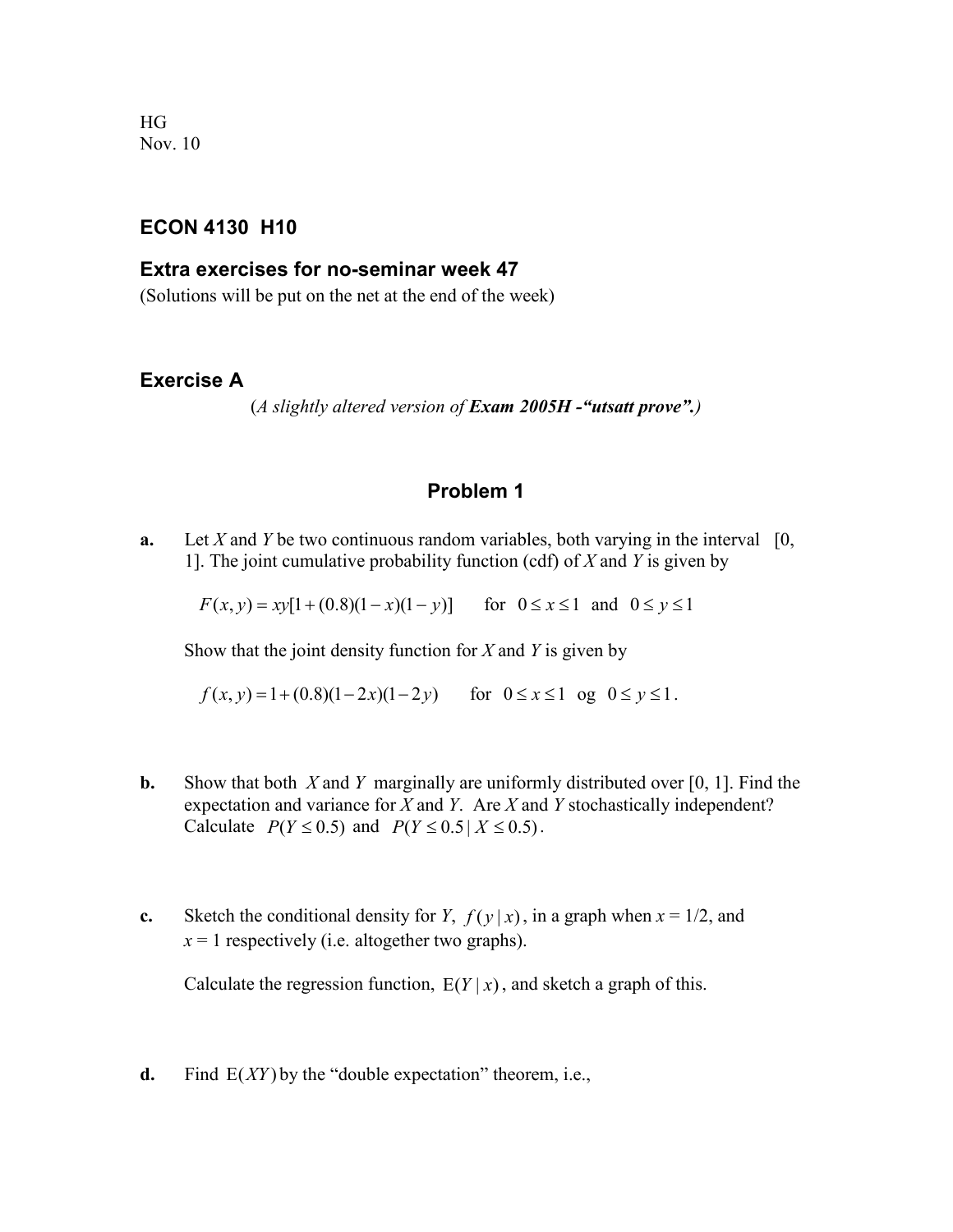HG Nov. 10

## **ECON 4130 H10**

### **Extra exercises for no-seminar week 47**

(Solutions will be put on the net at the end of the week)

### **Exercise A**

(*A slightly altered version of Exam 2005H -"utsatt prove".)*

# **Problem 1**

**a.** Let *X* and *Y* be two continuous random variables, both varying in the interval  $[0, 10]$ 1]. The joint cumulative probability function (cdf) of *X* and *Y* is given by

 $F(x, y) = xy[1 + (0.8)(1 - x)(1 - y)]$  for  $0 \le x \le 1$  and  $0 \le y \le 1$ 

Show that the joint density function for *X* and *Y* is given by

 $f(x, y) = 1 + (0.8)(1 - 2x)(1 - 2y)$  for  $0 \le x \le 1$  og  $0 \le y \le 1$ .

- **b.** Show that both *X* and *Y* marginally are uniformly distributed over [0, 1]. Find the expectation and variance for *X* and *Y*. Are *X* and *Y* stochastically independent? Calculate  $P(Y \le 0.5)$  and  $P(Y \le 0.5 | X \le 0.5)$ .
- **c.** Sketch the conditional density for *Y*,  $f(y|x)$ , in a graph when  $x = 1/2$ , and  $x = 1$  respectively (i.e. altogether two graphs).

Calculate the regression function,  $E(Y | x)$ , and sketch a graph of this.

**d.** Find  $E(XY)$  by the "double expectation" theorem, i.e.,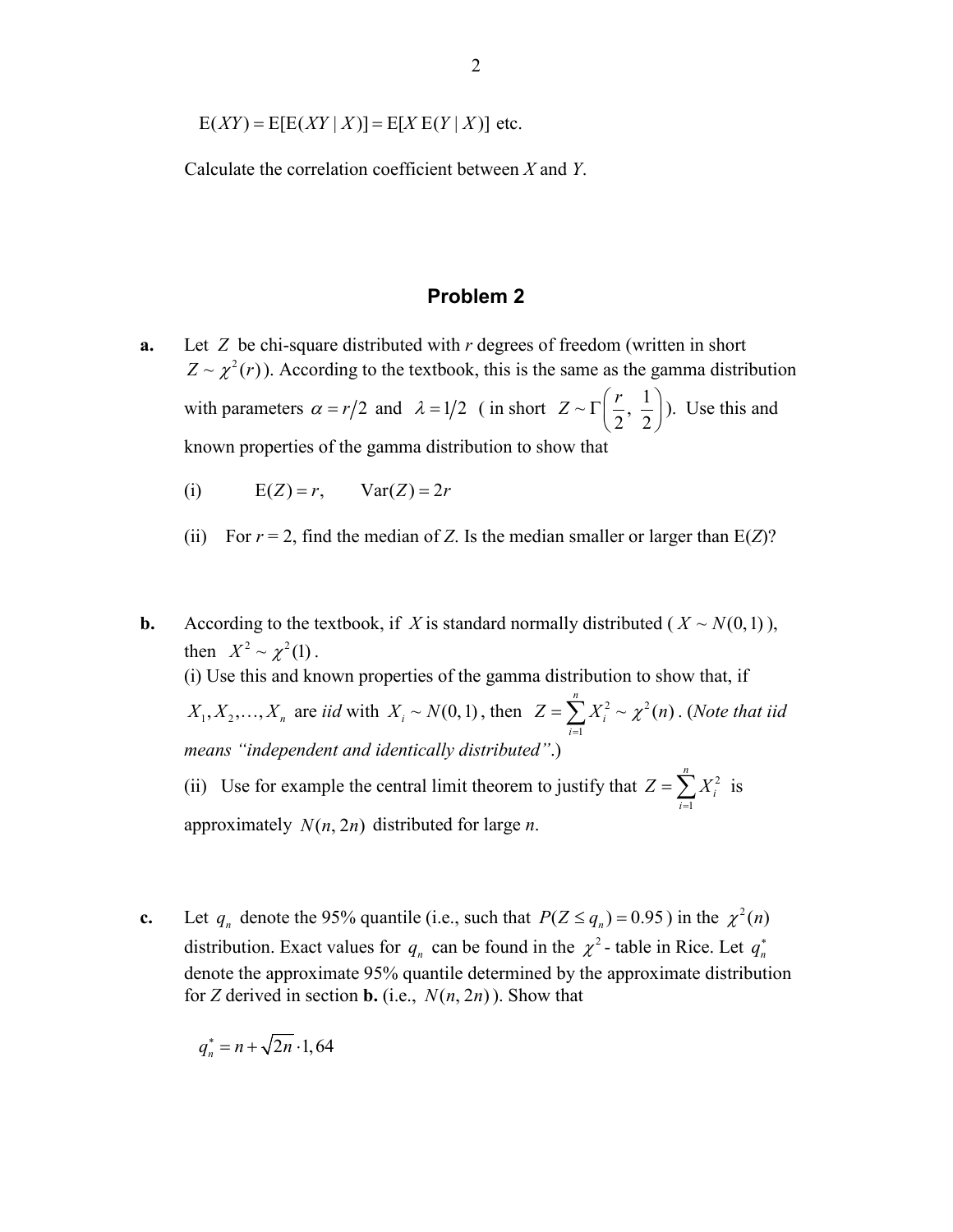$E(XY) = E[E(XY | X)] = E[X E(Y | X)]$  etc.

Calculate the correlation coefficient between *X* and *Y*.

#### **Problem 2**

- **a.** Let *Z* be chi-square distributed with *r* degrees of freedom (written in short  $Z \sim \chi^2(r)$ ). According to the textbook, this is the same as the gamma distribution with parameters  $\alpha = r/2$  and  $\lambda = 1/2$  (in short  $Z \sim \Gamma\left(\frac{r}{2}, \frac{1}{2}\right)$ ). Use this and known properties of the gamma distribution to show that
	- (i)  $E(Z) = r$ ,  $Var(Z) = 2r$
	- (ii) For  $r = 2$ , find the median of *Z*. Is the median smaller or larger than  $E(Z)$ ?
- **b.** According to the textbook, if *X* is standard normally distributed ( $X \sim N(0,1)$ ), then  $X^2 \sim \gamma^2(1)$ . (i) Use this and known properties of the gamma distribution to show that, if  $X_1, X_2, \ldots, X_n$  are *iid* with  $X_i \sim N(0,1)$ , then  $Z = \sum X_i^2 \sim \chi^2$ 1  $\sim \chi^2(n)$ *n i i*  $Z=\sum X_i^2\sim \chi^2(n)$  $=\sum_{i=1}^N X_i^2 \sim \chi^2(n)$ . (Note that iid *means "independent and identically distributed"*.) (ii) Use for example the central limit theorem to justify that  $Z = \sum_i X_i^2$ 1 *n i i*  $Z = \sum X$  $=\sum_{i=1} X_i^2$  is

approximately  $N(n, 2n)$  distributed for large *n*.

**c.** Let  $q_n$  denote the 95% quantile (i.e., such that  $P(Z \le q_n) = 0.95$ ) in the  $\chi^2(n)$ distribution. Exact values for  $q_n$  can be found in the  $\chi^2$ -table in Rice. Let  $q_n^*$ denote the approximate 95% quantile determined by the approximate distribution for *Z* derived in section **b.** (i.e.,  $N(n, 2n)$ ). Show that

$$
q_n^* = n + \sqrt{2n} \cdot 1,64
$$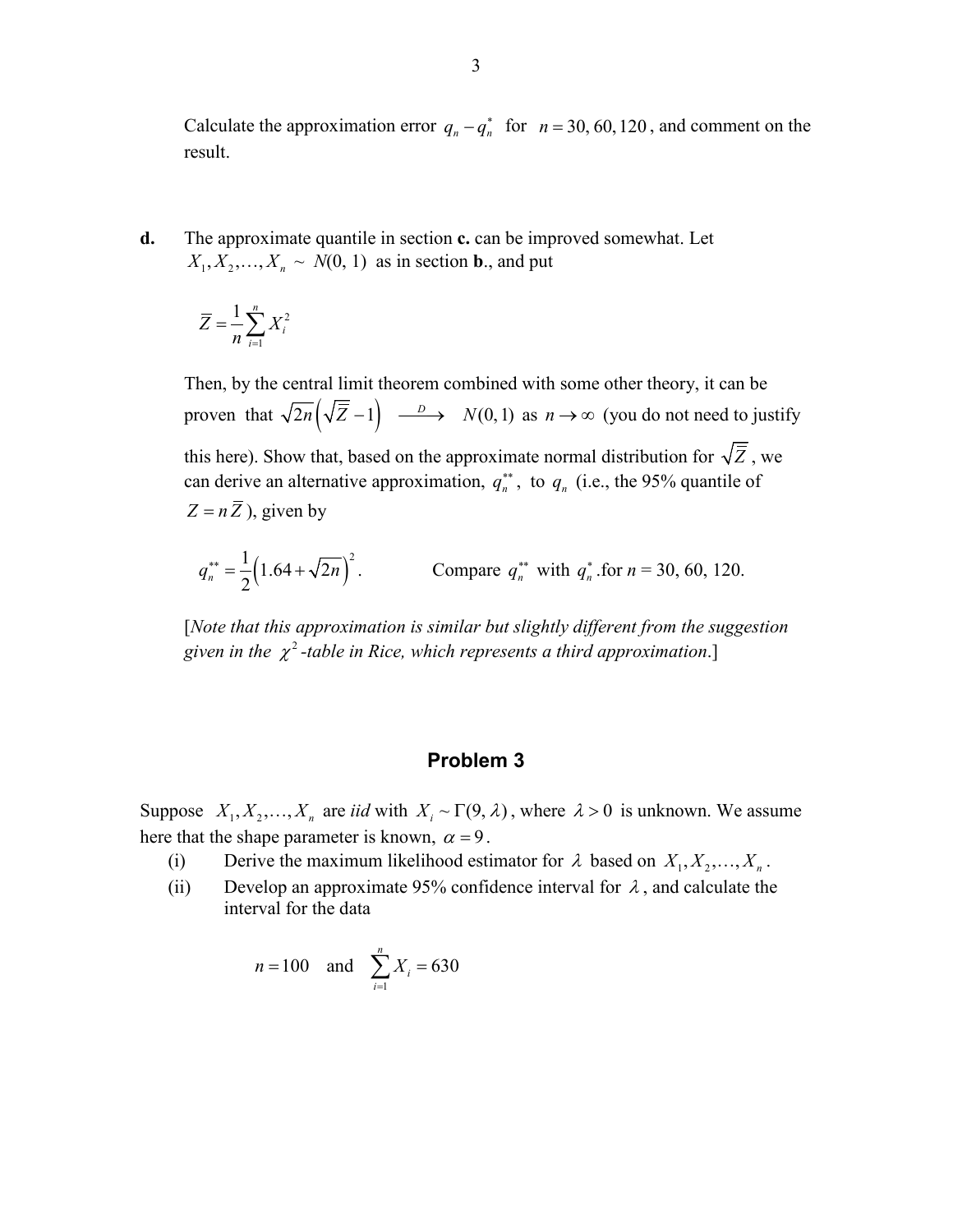Calculate the approximation error  $q_n - q_n^*$  for  $n = 30, 60, 120$ , and comment on the result.

**d.** The approximate quantile in section **c.** can be improved somewhat. Let  $X_1, X_2, \ldots, X_n \sim N(0, 1)$  as in section **b**., and put

$$
\overline{Z} = \frac{1}{n} \sum_{i=1}^{n} X_i^2
$$

Then, by the central limit theorem combined with some other theory, it can be proven that  $\sqrt{2n} (\sqrt{\overline{Z}} - 1) \longrightarrow N(0,1)$  as  $n \to \infty$  (you do not need to justify this here). Show that, based on the approximate normal distribution for  $\sqrt{\overline{Z}}$ , we can derive an alternative approximation,  $q_n^{**}$ , to  $q_n$  (i.e., the 95% quantile of  $Z = n\overline{Z}$ ), given by

$$
q_n^{**} = \frac{1}{2} \left( 1.64 + \sqrt{2n} \right)^2.
$$
 Compare  $q_n^{**}$  with  $q_n^*$  for  $n = 30, 60, 120$ .

[*Note that this approximation is similar but slightly different from the suggestion given in the*  $\chi^2$ -table in Rice, which represents a third approximation.]

# **Problem 3**

Suppose  $X_1, X_2, ..., X_n$  are *iid* with  $X_i \sim \Gamma(9, \lambda)$ , where  $\lambda > 0$  is unknown. We assume here that the shape parameter is known,  $\alpha = 9$ .

- (i) Derive the maximum likelihood estimator for  $\lambda$  based on  $X_1, X_2, \ldots, X_n$ .
- (ii) Develop an approximate 95% confidence interval for  $\lambda$ , and calculate the interval for the data

$$
n = 100
$$
 and  $\sum_{i=1}^{n} X_i = 630$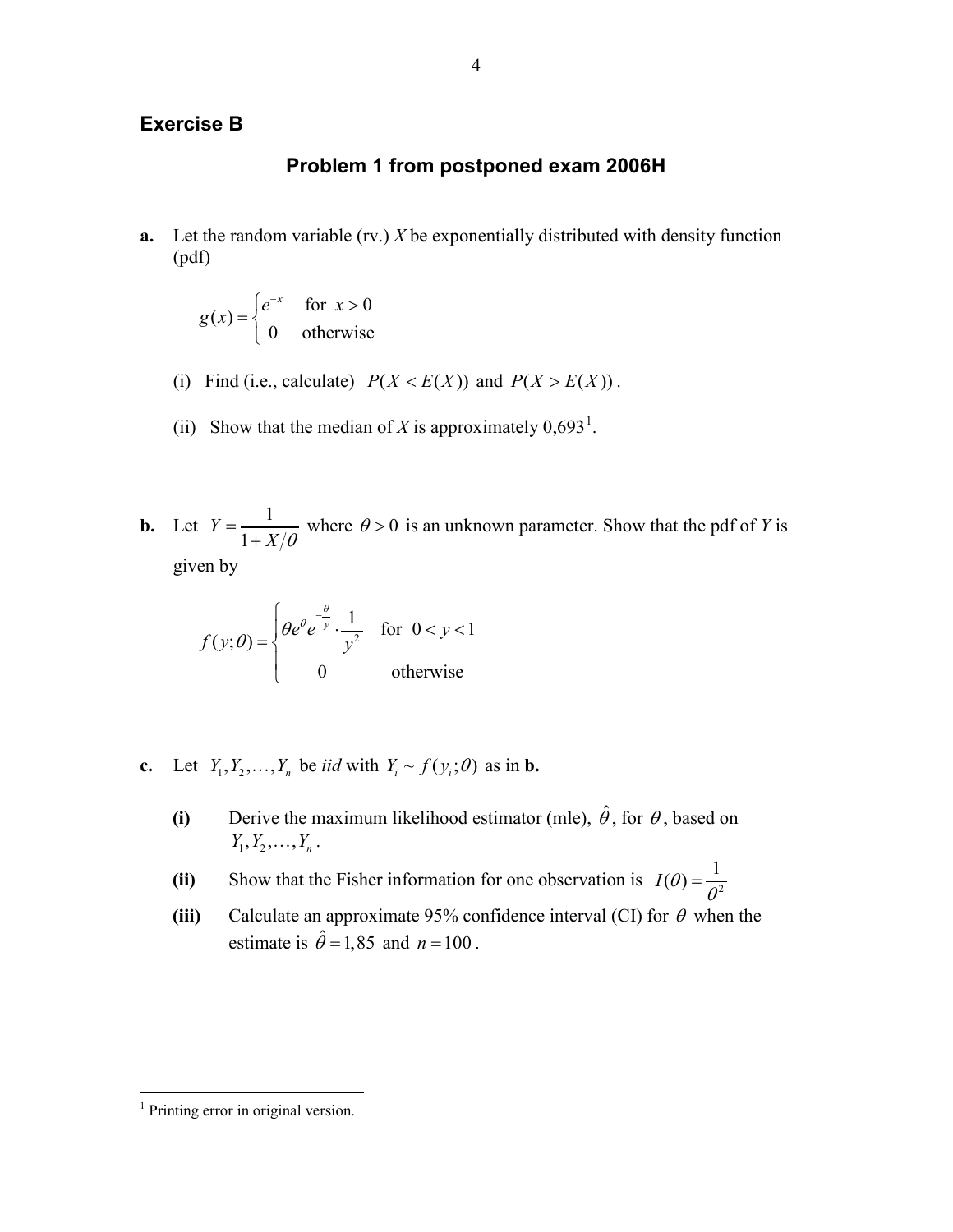# **Exercise B**

# **Problem 1 from postponed exam 2006H**

**a.** Let the random variable (rv.) *X* be exponentially distributed with density function (pdf)

$$
g(x) = \begin{cases} e^{-x} & \text{for } x > 0\\ 0 & \text{otherwise} \end{cases}
$$

- (i) Find (i.e., calculate)  $P(X < E(X))$  and  $P(X > E(X))$ .
- (ii) Show that the median of *X* is approximately  $0.693<sup>1</sup>$  $0.693<sup>1</sup>$  $0.693<sup>1</sup>$ .
- **b.** Let  $Y = \frac{1}{1+Y}$ 1  $Y = \frac{1}{1 + X/\theta}$  where  $\theta > 0$  is an unknown parameter. Show that the pdf of *Y* is given by

$$
f(y; \theta) = \begin{cases} \theta e^{\theta} e^{-\frac{\theta}{y}} \cdot \frac{1}{y^2} & \text{for } 0 < y < 1 \\ 0 & \text{otherwise} \end{cases}
$$

- **c.** Let  $Y_1, Y_2, \ldots, Y_n$  be *iid* with  $Y_i \sim f(y_i; \theta)$  as in **b.** 
	- **(i)** Derive the maximum likelihood estimator (mle),  $\hat{\theta}$ , for  $\theta$ , based on  $Y_1, Y_2, \ldots, Y_n$ .
	- (ii) Show that the Fisher information for one observation is  $I(\theta) = \frac{1}{\theta^2}$
	- **(iii)** Calculate an approximate 95% confidence interval (CI) for  $\theta$  when the estimate is  $\hat{\theta} = 1,85$  and  $n = 100$ .

<span id="page-3-0"></span><sup>&</sup>lt;sup>1</sup> Printing error in original version.